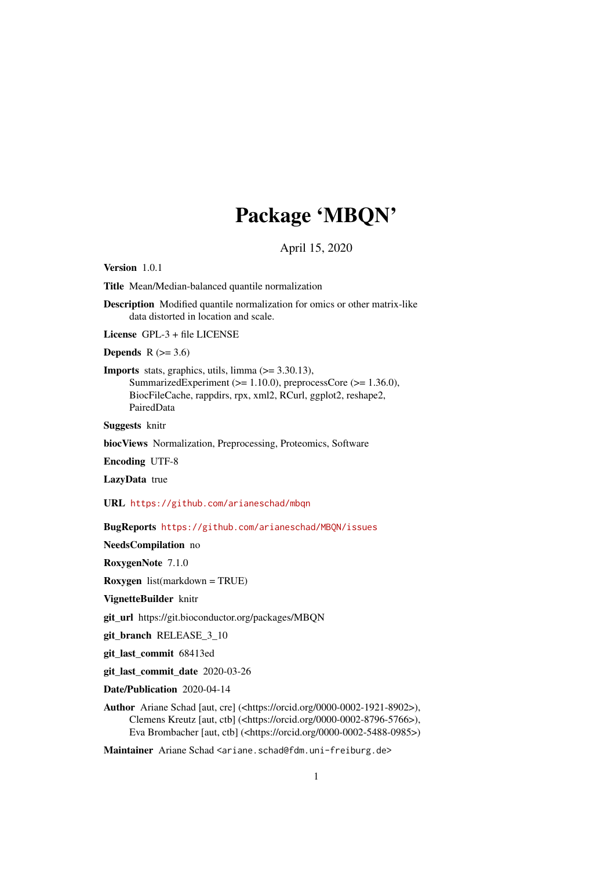## Package 'MBQN'

April 15, 2020

Version 1.0.1

Title Mean/Median-balanced quantile normalization

Description Modified quantile normalization for omics or other matrix-like data distorted in location and scale.

License GPL-3 + file LICENSE

Depends  $R$  ( $> = 3.6$ )

**Imports** stats, graphics, utils, limma  $(>= 3.30.13)$ , SummarizedExperiment (>= 1.10.0), preprocessCore (>= 1.36.0), BiocFileCache, rappdirs, rpx, xml2, RCurl, ggplot2, reshape2, PairedData

Suggests knitr

biocViews Normalization, Preprocessing, Proteomics, Software

Encoding UTF-8

LazyData true

URL <https://github.com/arianeschad/mbqn>

BugReports <https://github.com/arianeschad/MBQN/issues>

NeedsCompilation no

RoxygenNote 7.1.0

Roxygen list(markdown = TRUE)

VignetteBuilder knitr

git\_url https://git.bioconductor.org/packages/MBQN

git\_branch RELEASE\_3\_10

git\_last\_commit 68413ed

git\_last\_commit\_date 2020-03-26

Date/Publication 2020-04-14

Author Ariane Schad [aut, cre] (<https://orcid.org/0000-0002-1921-8902>), Clemens Kreutz [aut, ctb] (<https://orcid.org/0000-0002-8796-5766>), Eva Brombacher [aut, ctb] (<https://orcid.org/0000-0002-5488-0985>)

Maintainer Ariane Schad <ariane.schad@fdm.uni-freiburg.de>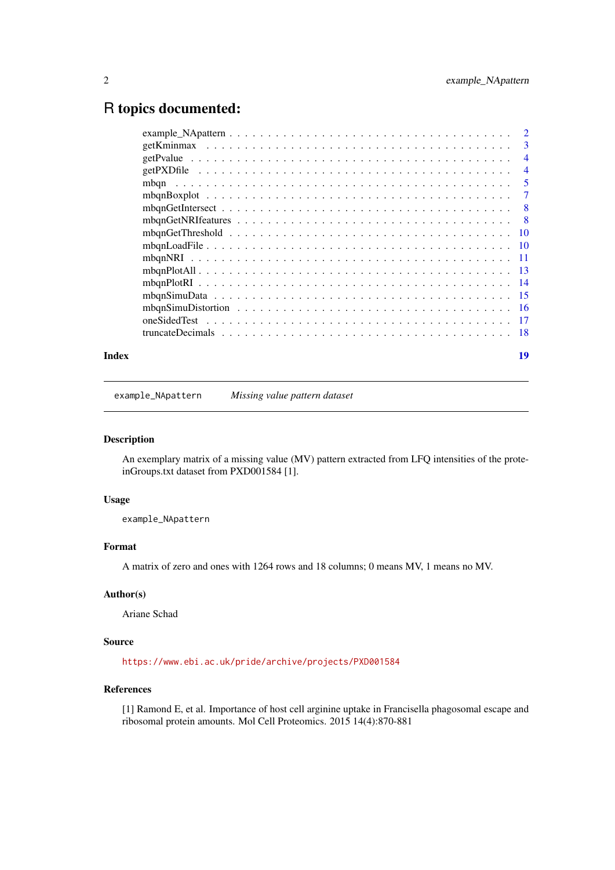## <span id="page-1-0"></span>R topics documented:

| $\overline{2}$  |
|-----------------|
| 3               |
| $\overline{4}$  |
| $\overline{4}$  |
| 5               |
| 7               |
| 8               |
| -8              |
| $\overline{10}$ |
|                 |
|                 |
|                 |
|                 |
|                 |
|                 |
|                 |
|                 |
|                 |

#### **Index** 2008 **[19](#page-18-0)99**

<span id="page-1-1"></span>example\_NApattern *Missing value pattern dataset*

#### Description

An exemplary matrix of a missing value (MV) pattern extracted from LFQ intensities of the proteinGroups.txt dataset from PXD001584 [1].

## Usage

example\_NApattern

## Format

A matrix of zero and ones with 1264 rows and 18 columns; 0 means MV, 1 means no MV.

## Author(s)

Ariane Schad

## Source

<https://www.ebi.ac.uk/pride/archive/projects/PXD001584>

#### References

[1] Ramond E, et al. Importance of host cell arginine uptake in Francisella phagosomal escape and ribosomal protein amounts. Mol Cell Proteomics. 2015 14(4):870-881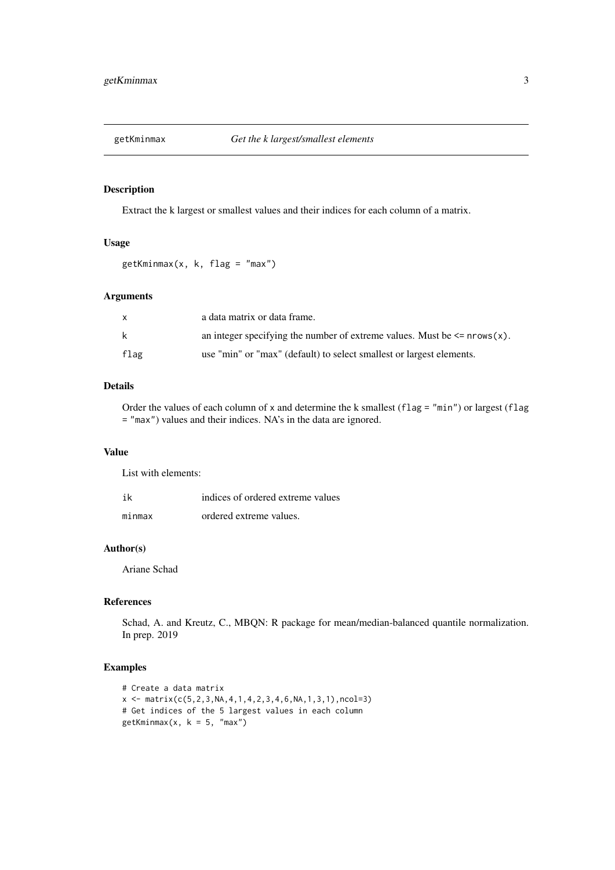<span id="page-2-0"></span>

Extract the k largest or smallest values and their indices for each column of a matrix.

## Usage

getKminmax(x, k, flag = "max")

## Arguments

| x    | a data matrix or data frame.                                                 |
|------|------------------------------------------------------------------------------|
| k    | an integer specifying the number of extreme values. Must be $\leq$ nrows(x). |
| flag | use "min" or "max" (default) to select smallest or largest elements.         |

## Details

Order the values of each column of x and determine the k smallest (flag = "min") or largest (flag = "max") values and their indices. NA's in the data are ignored.

#### Value

List with elements:

| ik     | indices of ordered extreme values |
|--------|-----------------------------------|
| minmax | ordered extreme values.           |

#### Author(s)

Ariane Schad

#### References

Schad, A. and Kreutz, C., MBQN: R package for mean/median-balanced quantile normalization. In prep. 2019

## Examples

```
# Create a data matrix
x \leftarrow \text{matrix}(c(5, 2, 3, NA, 4, 1, 4, 2, 3, 4, 6, NA, 1, 3, 1), ncol=3)# Get indices of the 5 largest values in each column
getKminmax(x, k = 5, "max")
```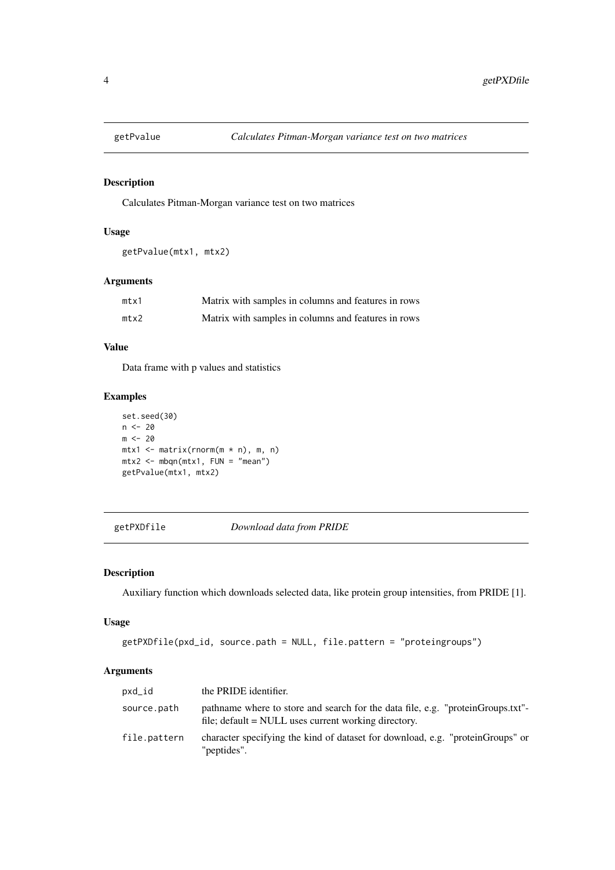<span id="page-3-0"></span>

Calculates Pitman-Morgan variance test on two matrices

## Usage

```
getPvalue(mtx1, mtx2)
```
## Arguments

| mtx1 | Matrix with samples in columns and features in rows |
|------|-----------------------------------------------------|
| mtx2 | Matrix with samples in columns and features in rows |

## Value

Data frame with p values and statistics

## Examples

```
set.seed(30)
n < -20m < -20mtx1 \leq matrix(rnorm(m * n), m, n)mtx2 < - mbp(ntx1, FUN = "mean")getPvalue(mtx1, mtx2)
```
<span id="page-3-1"></span>getPXDfile *Download data from PRIDE*

## Description

Auxiliary function which downloads selected data, like protein group intensities, from PRIDE [1].

## Usage

```
getPXDfile(pxd_id, source.path = NULL, file.pattern = "proteingroups")
```

| pxd_id       | the PRIDE identifier.                                                                                                                   |
|--------------|-----------------------------------------------------------------------------------------------------------------------------------------|
| source.path  | pathname where to store and search for the data file, e.g. "proteinGroups.txt"-<br>file; default = NULL uses current working directory. |
| file.pattern | character specifying the kind of dataset for download, e.g. "proteinGroups" or<br>"peptides".                                           |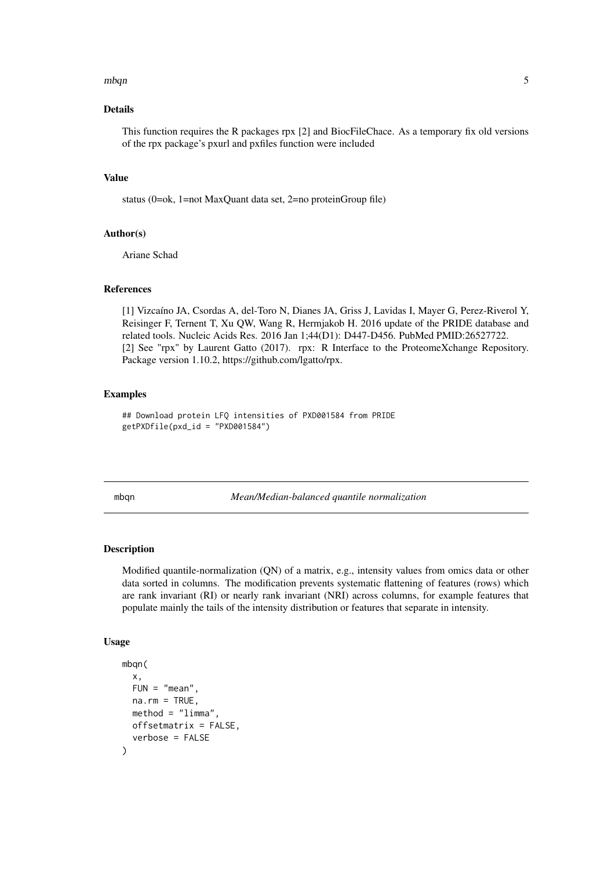#### <span id="page-4-0"></span> $m$ bqn  $5$

#### Details

This function requires the R packages rpx [2] and BiocFileChace. As a temporary fix old versions of the rpx package's pxurl and pxfiles function were included

#### Value

status (0=ok, 1=not MaxQuant data set, 2=no proteinGroup file)

#### Author(s)

Ariane Schad

#### References

[1] Vizcaíno JA, Csordas A, del-Toro N, Dianes JA, Griss J, Lavidas I, Mayer G, Perez-Riverol Y, Reisinger F, Ternent T, Xu QW, Wang R, Hermjakob H. 2016 update of the PRIDE database and related tools. Nucleic Acids Res. 2016 Jan 1;44(D1): D447-D456. PubMed PMID:26527722. [2] See "rpx" by Laurent Gatto (2017). rpx: R Interface to the ProteomeXchange Repository. Package version 1.10.2, https://github.com/lgatto/rpx.

#### Examples

## Download protein LFQ intensities of PXD001584 from PRIDE getPXDfile(pxd\_id = "PXD001584")

<span id="page-4-1"></span>mbqn *Mean/Median-balanced quantile normalization*

#### Description

Modified quantile-normalization (QN) of a matrix, e.g., intensity values from omics data or other data sorted in columns. The modification prevents systematic flattening of features (rows) which are rank invariant (RI) or nearly rank invariant (NRI) across columns, for example features that populate mainly the tails of the intensity distribution or features that separate in intensity.

#### Usage

```
mbqn(
 x,
 FUN = "mean"na.rm = TRUE,method = "limma",offsetmatrix = FALSE,
  verbose = FALSE
)
```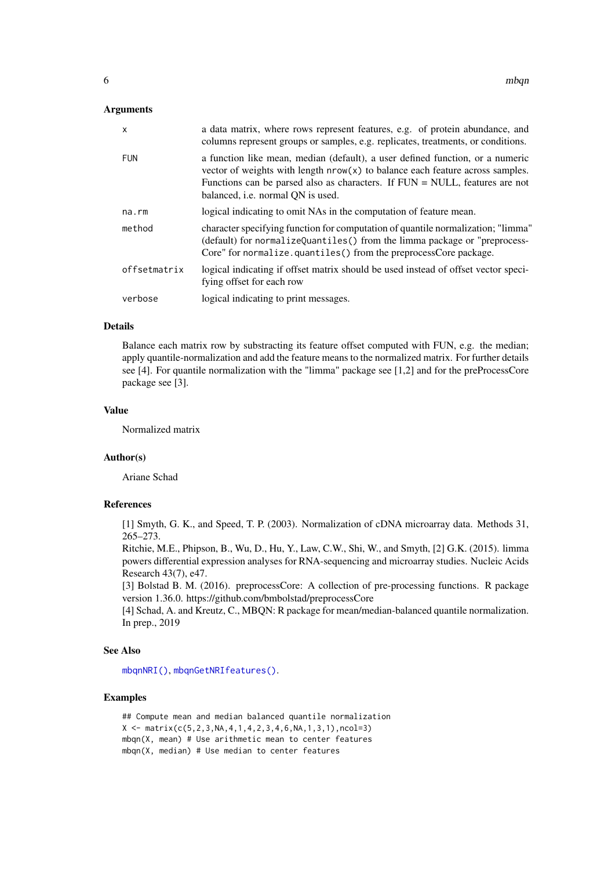## <span id="page-5-0"></span>Arguments

| $\boldsymbol{\mathsf{x}}$ | a data matrix, where rows represent features, e.g. of protein abundance, and<br>columns represent groups or samples, e.g. replicates, treatments, or conditions.                                                                                                                        |
|---------------------------|-----------------------------------------------------------------------------------------------------------------------------------------------------------------------------------------------------------------------------------------------------------------------------------------|
| <b>FUN</b>                | a function like mean, median (default), a user defined function, or a numeric<br>vector of weights with length $nrow(x)$ to balance each feature across samples.<br>Functions can be parsed also as characters. If $FUN = NULL$ , features are not<br>balanced, i.e. normal QN is used. |
| na.rm                     | logical indicating to omit NAs in the computation of feature mean.                                                                                                                                                                                                                      |
| method                    | character specifying function for computation of quantile normalization; "limma"<br>(default) for normalizeQuantiles() from the limma package or "preprocess-<br>Core" for normalize.quantiles() from the preprocessCore package.                                                       |
| offsetmatrix              | logical indicating if offset matrix should be used instead of offset vector speci-<br>fying offset for each row                                                                                                                                                                         |
| verbose                   | logical indicating to print messages.                                                                                                                                                                                                                                                   |

#### Details

Balance each matrix row by substracting its feature offset computed with FUN, e.g. the median; apply quantile-normalization and add the feature means to the normalized matrix. For further details see [4]. For quantile normalization with the "limma" package see [1,2] and for the preProcessCore package see [3].

#### Value

Normalized matrix

#### Author(s)

Ariane Schad

#### References

[1] Smyth, G. K., and Speed, T. P. (2003). Normalization of cDNA microarray data. Methods 31, 265–273.

Ritchie, M.E., Phipson, B., Wu, D., Hu, Y., Law, C.W., Shi, W., and Smyth, [2] G.K. (2015). limma powers differential expression analyses for RNA-sequencing and microarray studies. Nucleic Acids Research 43(7), e47.

[3] Bolstad B. M. (2016). preprocessCore: A collection of pre-processing functions. R package version 1.36.0. https://github.com/bmbolstad/preprocessCore

[4] Schad, A. and Kreutz, C., MBQN: R package for mean/median-balanced quantile normalization. In prep., 2019

#### See Also

[mbqnNRI\(\)](#page-10-1), [mbqnGetNRIfeatures\(\)](#page-7-1).

#### Examples

```
## Compute mean and median balanced quantile normalization
X \leq - matrix(c(5,2,3, NA, 4, 1, 4, 2, 3, 4, 6, NA, 1, 3, 1), ncol=3)
mbqn(X, mean) # Use arithmetic mean to center features
mbqn(X, median) # Use median to center features
```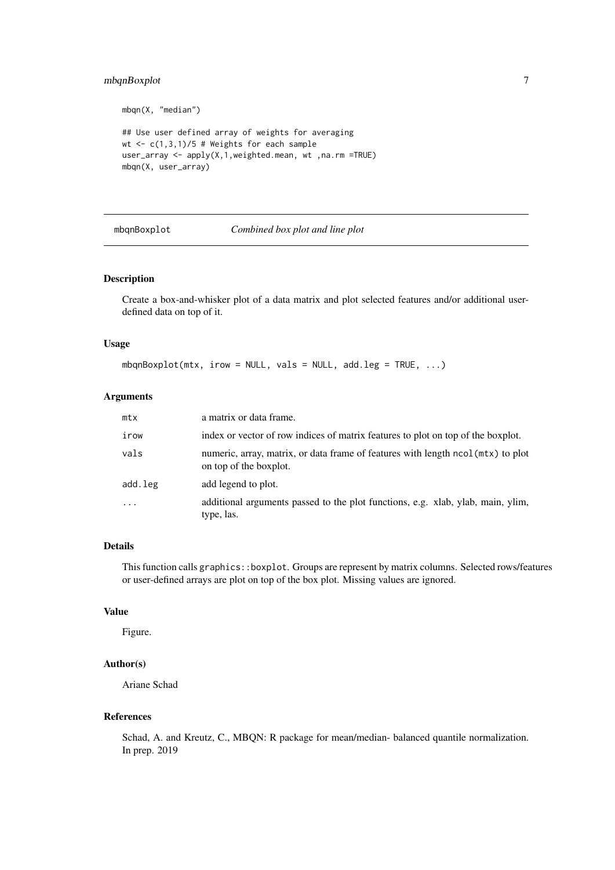## <span id="page-6-0"></span>mbqnBoxplot 7

mbqn(X, "median")

```
## Use user defined array of weights for averaging
wt \leq c(1,3,1)/5 # Weights for each sample
user_array <- apply(X,1,weighted.mean, wt ,na.rm =TRUE)
mbqn(X, user_array)
```
<span id="page-6-1"></span>

#### mbqnBoxplot *Combined box plot and line plot*

#### Description

Create a box-and-whisker plot of a data matrix and plot selected features and/or additional userdefined data on top of it.

## Usage

mbqnBoxplot(mtx, irow = NULL, vals = NULL, add.leg = TRUE, ...)

## Arguments

| mtx       | a matrix or data frame.                                                                                    |
|-----------|------------------------------------------------------------------------------------------------------------|
| irow      | index or vector of row indices of matrix features to plot on top of the boxplot.                           |
| vals      | numeric, array, matrix, or data frame of features with length ncol (mtx) to plot<br>on top of the boxplot. |
| add.leg   | add legend to plot.                                                                                        |
| $\ddotsc$ | additional arguments passed to the plot functions, e.g. xlab, ylab, main, ylim,<br>type, las.              |

#### Details

This function calls graphics::boxplot. Groups are represent by matrix columns. Selected rows/features or user-defined arrays are plot on top of the box plot. Missing values are ignored.

## Value

Figure.

## Author(s)

Ariane Schad

## References

Schad, A. and Kreutz, C., MBQN: R package for mean/median- balanced quantile normalization. In prep. 2019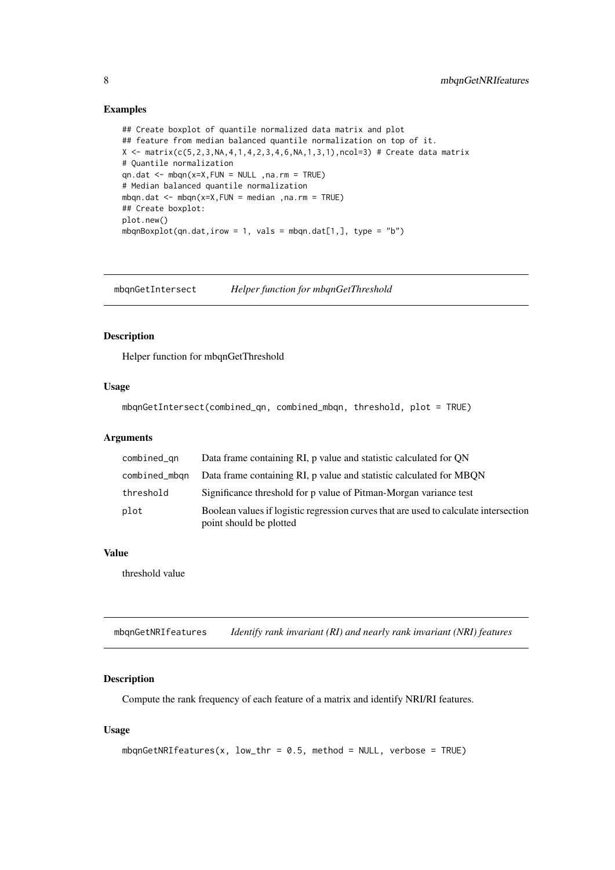## Examples

```
## Create boxplot of quantile normalized data matrix and plot
## feature from median balanced quantile normalization on top of it.
X <- matrix(c(5,2,3,NA,4,1,4,2,3,4,6,NA,1,3,1),ncol=3) # Create data matrix
# Quantile normalization
qn.dat <- mbar(x=X, FUN = NULL, na. rm = TRUE)# Median balanced quantile normalization
mbqn.dat \leq mbqn(x=X, FUN = median , na.rm = TRUE)
## Create boxplot:
plot.new()
mbqnBoxplot(qn.dat,irow = 1, vals = mbqn.dat[1,], type = "b")
```
mbqnGetIntersect *Helper function for mbqnGetThreshold*

## Description

Helper function for mbqnGetThreshold

#### Usage

```
mbqnGetIntersect(combined_qn, combined_mbqn, threshold, plot = TRUE)
```
## Arguments

| combined_qn   | Data frame containing RI, p value and statistic calculated for QN                                               |
|---------------|-----------------------------------------------------------------------------------------------------------------|
| combined_mbgn | Data frame containing RI, p value and statistic calculated for MBON                                             |
| threshold     | Significance threshold for p value of Pitman-Morgan variance test                                               |
| plot          | Boolean values if logistic regression curves that are used to calculate intersection<br>point should be plotted |

#### Value

threshold value

<span id="page-7-1"></span>mbqnGetNRIfeatures *Identify rank invariant (RI) and nearly rank invariant (NRI) features*

## Description

Compute the rank frequency of each feature of a matrix and identify NRI/RI features.

## Usage

```
mbqnGetNRIfeatures(x, low_thr = 0.5, method = NULL, verbose = TRUE)
```
<span id="page-7-0"></span>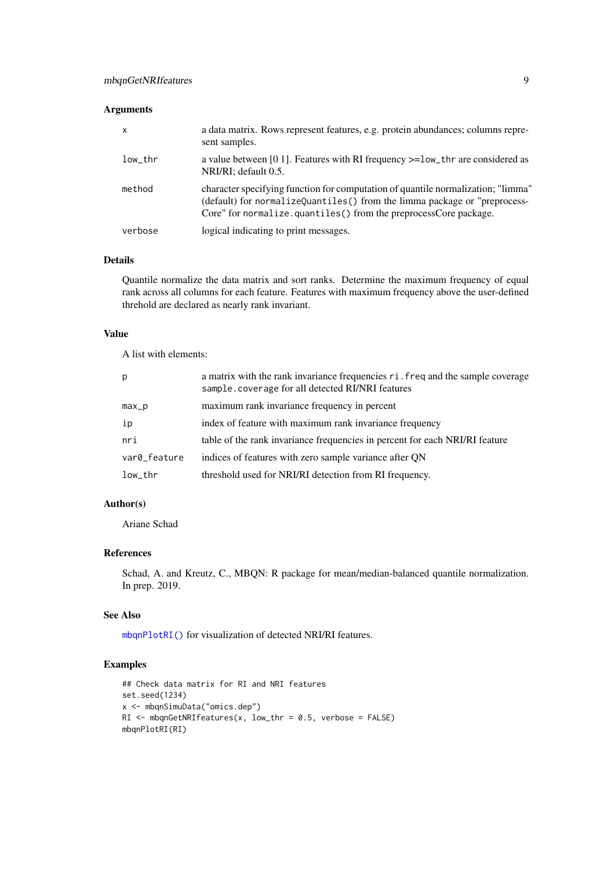## <span id="page-8-0"></span>Arguments

| $\mathsf{x}$ | a data matrix. Rows represent features, e.g. protein abundances; columns repre-<br>sent samples.                                                                                                                                  |
|--------------|-----------------------------------------------------------------------------------------------------------------------------------------------------------------------------------------------------------------------------------|
| low thr      | a value between [0.1]. Features with RI frequency $>=$ low_thr are considered as<br>NRI/RI; default 0.5.                                                                                                                          |
| method       | character specifying function for computation of quantile normalization; "limma"<br>(default) for normalize0uantiles() from the limma package or "preprocess-<br>Core" for normalize.quantiles() from the preprocessCore package. |
| verbose      | logical indicating to print messages.                                                                                                                                                                                             |

## Details

Quantile normalize the data matrix and sort ranks. Determine the maximum frequency of equal rank across all columns for each feature. Features with maximum frequency above the user-defined threhold are declared as nearly rank invariant.

## Value

A list with elements:

| p            | a matrix with the rank invariance frequencies ri. freq and the sample coverage<br>sample. coverage for all detected RI/NRI features |
|--------------|-------------------------------------------------------------------------------------------------------------------------------------|
| max_p        | maximum rank invariance frequency in percent                                                                                        |
| ip           | index of feature with maximum rank invariance frequency                                                                             |
| nri          | table of the rank invariance frequencies in percent for each NRI/RI feature                                                         |
| var0_feature | indices of features with zero sample variance after QN                                                                              |
| low_thr      | threshold used for NRI/RI detection from RI frequency.                                                                              |

## Author(s)

Ariane Schad

## References

Schad, A. and Kreutz, C., MBQN: R package for mean/median-balanced quantile normalization. In prep. 2019.

#### See Also

[mbqnPlotRI\(\)](#page-13-1) for visualization of detected NRI/RI features.

## Examples

```
## Check data matrix for RI and NRI features
set.seed(1234)
x <- mbqnSimuData("omics.dep")
RI \leq mbqnGetNRIfeatures(x, low_thr = 0.5, verbose = FALSE)
mbqnPlotRI(RI)
```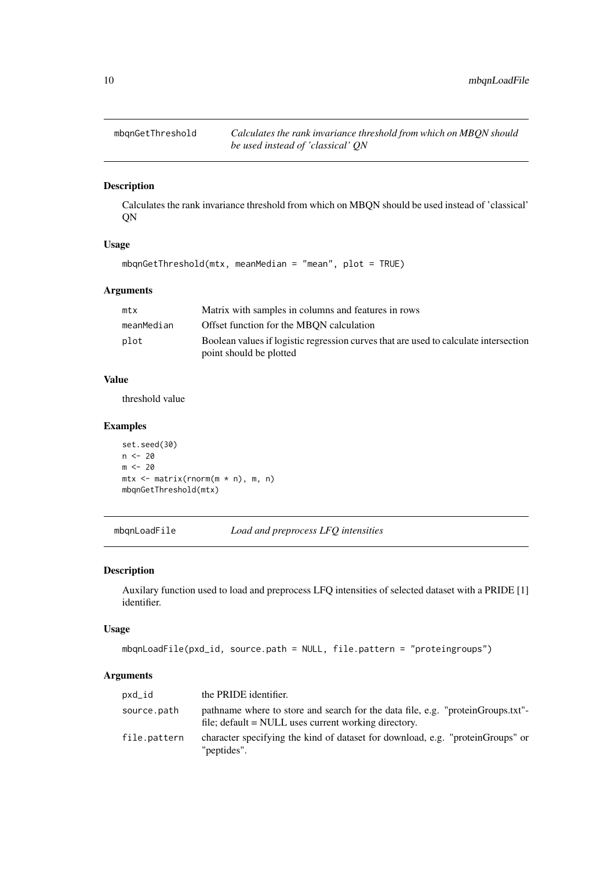<span id="page-9-0"></span>

Calculates the rank invariance threshold from which on MBQN should be used instead of 'classical' QN

## Usage

```
mbqnGetThreshold(mtx, meanMedian = "mean", plot = TRUE)
```
## Arguments

| mtx        | Matrix with samples in columns and features in rows                                  |
|------------|--------------------------------------------------------------------------------------|
| meanMedian | Offset function for the MBON calculation                                             |
| plot       | Boolean values if logistic regression curves that are used to calculate intersection |
|            | point should be plotted                                                              |

## Value

threshold value

#### Examples

```
set.seed(30)
n < - 20m < -20mtx <- matrix(rnorm(m * n), m, n)
mbqnGetThreshold(mtx)
```
mbqnLoadFile *Load and preprocess LFQ intensities*

#### Description

Auxilary function used to load and preprocess LFQ intensities of selected dataset with a PRIDE [1] identifier.

## Usage

```
mbqnLoadFile(pxd_id, source.path = NULL, file.pattern = "proteingroups")
```

| pxd_id       | the PRIDE identifier.                                                                                                                   |
|--------------|-----------------------------------------------------------------------------------------------------------------------------------------|
| source.path  | pathname where to store and search for the data file, e.g. "proteinGroups.txt"-<br>file; default = NULL uses current working directory. |
| file.pattern | character specifying the kind of dataset for download, e.g. "proteinGroups" or<br>"peptides".                                           |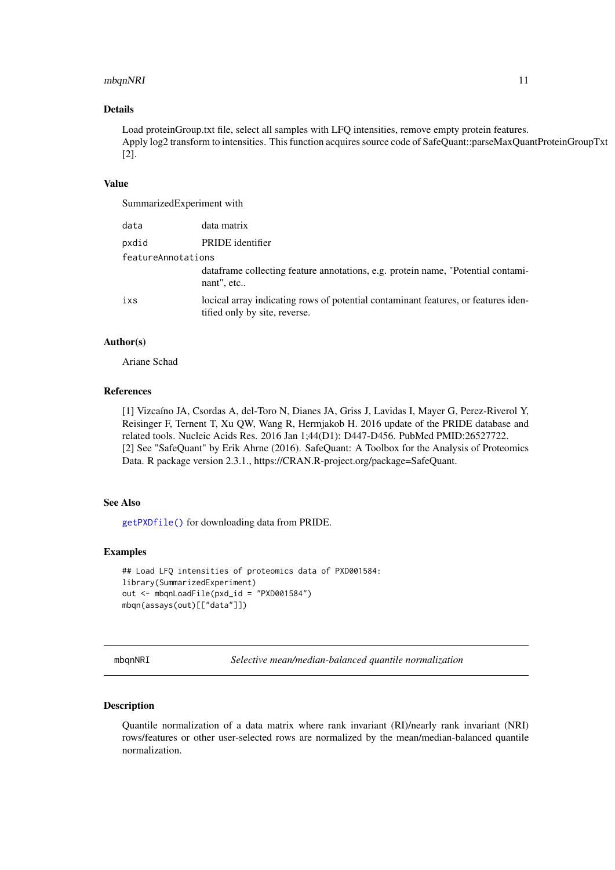#### <span id="page-10-0"></span>mbqnNRI 11

#### Details

Load proteinGroup.txt file, select all samples with LFQ intensities, remove empty protein features. Apply log2 transform to intensities. This function acquires source code of SafeQuant::parseMaxQuantProteinGroupTxt [2].

## Value

SummarizedExperiment with

| data               | data matrix                                                                                                         |
|--------------------|---------------------------------------------------------------------------------------------------------------------|
| pxdid              | PRIDE identifier                                                                                                    |
| featureAnnotations |                                                                                                                     |
|                    | data frame collecting feature annotations, e.g. protein name, "Potential contami-<br>nant", etc                     |
| ixs                | locical array indicating rows of potential contaminant features, or features iden-<br>tified only by site, reverse. |

#### Author(s)

Ariane Schad

#### References

[1] Vizcaíno JA, Csordas A, del-Toro N, Dianes JA, Griss J, Lavidas I, Mayer G, Perez-Riverol Y, Reisinger F, Ternent T, Xu QW, Wang R, Hermjakob H. 2016 update of the PRIDE database and related tools. Nucleic Acids Res. 2016 Jan 1;44(D1): D447-D456. PubMed PMID:26527722. [2] See "SafeQuant" by Erik Ahrne (2016). SafeQuant: A Toolbox for the Analysis of Proteomics Data. R package version 2.3.1., https://CRAN.R-project.org/package=SafeQuant.

## See Also

[getPXDfile\(\)](#page-3-1) for downloading data from PRIDE.

#### Examples

```
## Load LFQ intensities of proteomics data of PXD001584:
library(SummarizedExperiment)
out <- mbqnLoadFile(pxd_id = "PXD001584")
mbqn(assays(out)[["data"]])
```
<span id="page-10-1"></span>mbqnNRI *Selective mean/median-balanced quantile normalization*

## Description

Quantile normalization of a data matrix where rank invariant (RI)/nearly rank invariant (NRI) rows/features or other user-selected rows are normalized by the mean/median-balanced quantile normalization.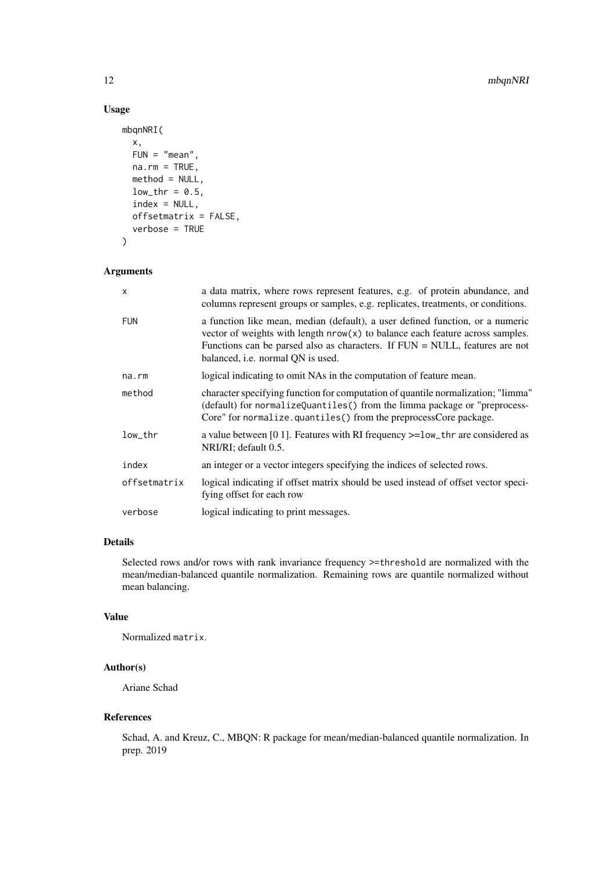## Usage

```
mbqnNRI(
  x,
  FUN = "mean",
  na.rm = TRUE,method = NULL,
  low_{thr} = 0.5,
  index = NULL,
  offsetmatrix = FALSE,
  verbose = TRUE
\lambda
```
## Arguments

| $\mathsf{x}$          | a data matrix, where rows represent features, e.g. of protein abundance, and<br>columns represent groups or samples, e.g. replicates, treatments, or conditions.                                                                                                                        |
|-----------------------|-----------------------------------------------------------------------------------------------------------------------------------------------------------------------------------------------------------------------------------------------------------------------------------------|
| <b>FUN</b>            | a function like mean, median (default), a user defined function, or a numeric<br>vector of weights with length $nrow(x)$ to balance each feature across samples.<br>Functions can be parsed also as characters. If $FUN = NULL$ , features are not<br>balanced, i.e. normal QN is used. |
| na.rm                 | logical indicating to omit NAs in the computation of feature mean.                                                                                                                                                                                                                      |
| method                | character specifying function for computation of quantile normalization; "limma"<br>(default) for normalizeQuantiles() from the limma package or "preprocess-<br>Core" for normalize.quantiles() from the preprocessCore package.                                                       |
| $low_{\rm \perp}$ thr | a value between [0 1]. Features with RI frequency >=1ow_thr are considered as<br>NRI/RI; default 0.5.                                                                                                                                                                                   |
| index                 | an integer or a vector integers specifying the indices of selected rows.                                                                                                                                                                                                                |
| offsetmatrix          | logical indicating if offset matrix should be used instead of offset vector speci-<br>fying offset for each row                                                                                                                                                                         |
| verbose               | logical indicating to print messages.                                                                                                                                                                                                                                                   |
|                       |                                                                                                                                                                                                                                                                                         |

## Details

Selected rows and/or rows with rank invariance frequency >=threshold are normalized with the mean/median-balanced quantile normalization. Remaining rows are quantile normalized without mean balancing.

## Value

Normalized matrix.

#### Author(s)

Ariane Schad

## References

Schad, A. and Kreuz, C., MBQN: R package for mean/median-balanced quantile normalization. In prep. 2019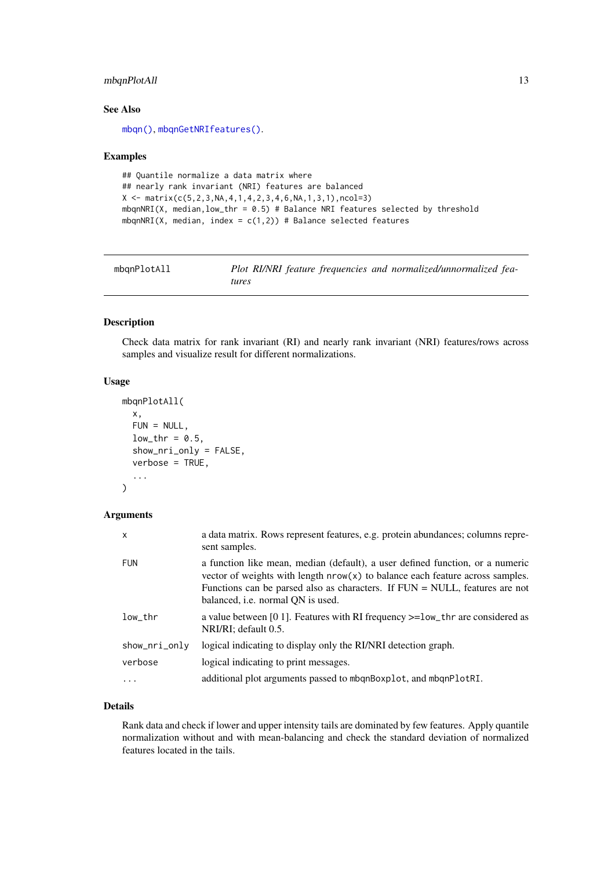#### <span id="page-12-0"></span>mbqnPlotAll 13

#### See Also

[mbqn\(\)](#page-4-1), [mbqnGetNRIfeatures\(\)](#page-7-1).

#### Examples

```
## Quantile normalize a data matrix where
## nearly rank invariant (NRI) features are balanced
X \leftarrow \text{matrix}(c(5, 2, 3, NA, 4, 1, 4, 2, 3, 4, 6, NA, 1, 3, 1), ncol=3)mbqnNRI(X, median, low_{\text{th}} = 0.5) # Balance NRI features selected by threshold
mbqnNRI(X, median, index = c(1,2)) # Balance selected features
```
mbqnPlotAll *Plot RI/NRI feature frequencies and normalized/unnormalized features*

#### Description

Check data matrix for rank invariant (RI) and nearly rank invariant (NRI) features/rows across samples and visualize result for different normalizations.

## Usage

```
mbqnPlotAll(
  x,
  FUN = NULL,
  low_{\text{thr}} = 0.5,
  show_nri_only = FALSE,
  verbose = TRUE,
  ...
)
```
## Arguments

| $\mathsf{x}$                      | a data matrix. Rows represent features, e.g. protein abundances; columns repre-<br>sent samples.                                                                                                                                                                                               |
|-----------------------------------|------------------------------------------------------------------------------------------------------------------------------------------------------------------------------------------------------------------------------------------------------------------------------------------------|
| <b>FUN</b>                        | a function like mean, median (default), a user defined function, or a numeric<br>vector of weights with length $nrow(x)$ to balance each feature across samples.<br>Functions can be parsed also as characters. If $FUN = NULL$ , features are not<br>balanced, <i>i.e.</i> normal QN is used. |
| $low_{\scriptscriptstyle{-}}$ thr | a value between [0 1]. Features with RI frequency $>=$ low_thr are considered as<br>NRI/RI; default 0.5.                                                                                                                                                                                       |
| show_nri_only                     | logical indicating to display only the RI/NRI detection graph.                                                                                                                                                                                                                                 |
| verbose                           | logical indicating to print messages.                                                                                                                                                                                                                                                          |
|                                   | additional plot arguments passed to mbqnBoxplot, and mbqnPlotRI.                                                                                                                                                                                                                               |

## Details

Rank data and check if lower and upper intensity tails are dominated by few features. Apply quantile normalization without and with mean-balancing and check the standard deviation of normalized features located in the tails.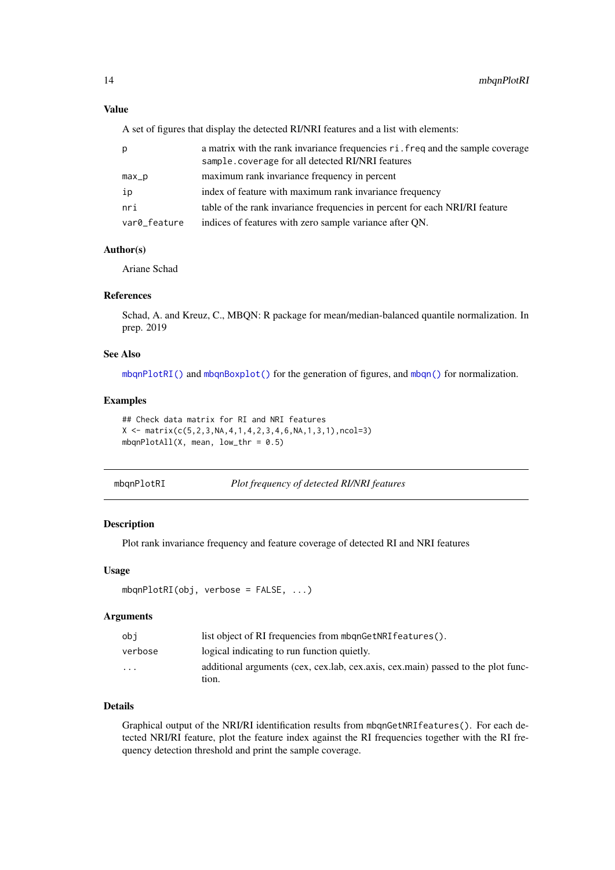## <span id="page-13-0"></span>Value

A set of figures that display the detected RI/NRI features and a list with elements:

| p            | a matrix with the rank invariance frequencies ri. freq and the sample coverage<br>sample.coverage for all detected RI/NRI features |
|--------------|------------------------------------------------------------------------------------------------------------------------------------|
| $max_p$      | maximum rank invariance frequency in percent                                                                                       |
| ip           | index of feature with maximum rank invariance frequency                                                                            |
| nri          | table of the rank invariance frequencies in percent for each NRI/RI feature                                                        |
| var0_feature | indices of features with zero sample variance after QN.                                                                            |

#### Author(s)

Ariane Schad

#### References

Schad, A. and Kreuz, C., MBQN: R package for mean/median-balanced quantile normalization. In prep. 2019

## See Also

[mbqnPlotRI\(\)](#page-13-1) and [mbqnBoxplot\(\)](#page-6-1) for the generation of figures, and [mbqn\(\)](#page-4-1) for normalization.

## Examples

```
## Check data matrix for RI and NRI features
X \leftarrow \text{matrix}(c(5, 2, 3, NA, 4, 1, 4, 2, 3, 4, 6, NA, 1, 3, 1), ncol=3)mbqnPlotAll(X, mean, low_{\text{thr}} = 0.5)
```
<span id="page-13-1"></span>

| mbgnPlotRI | Plot frequency of detected RI/NRI features |  |
|------------|--------------------------------------------|--|
|            |                                            |  |

## Description

Plot rank invariance frequency and feature coverage of detected RI and NRI features

## Usage

```
mbqnPlotRI(obj, verbose = FALSE, ...)
```
## Arguments

| obi      | list object of RI frequencies from mbgnGetNRIfeatures().                                     |
|----------|----------------------------------------------------------------------------------------------|
| verbose  | logical indicating to run function quietly.                                                  |
| $\cdots$ | additional arguments (cex, cex, lab, cex, axis, cex, main) passed to the plot func-<br>tion. |

## Details

Graphical output of the NRI/RI identification results from mbqnGetNRIfeatures(). For each detected NRI/RI feature, plot the feature index against the RI frequencies together with the RI frequency detection threshold and print the sample coverage.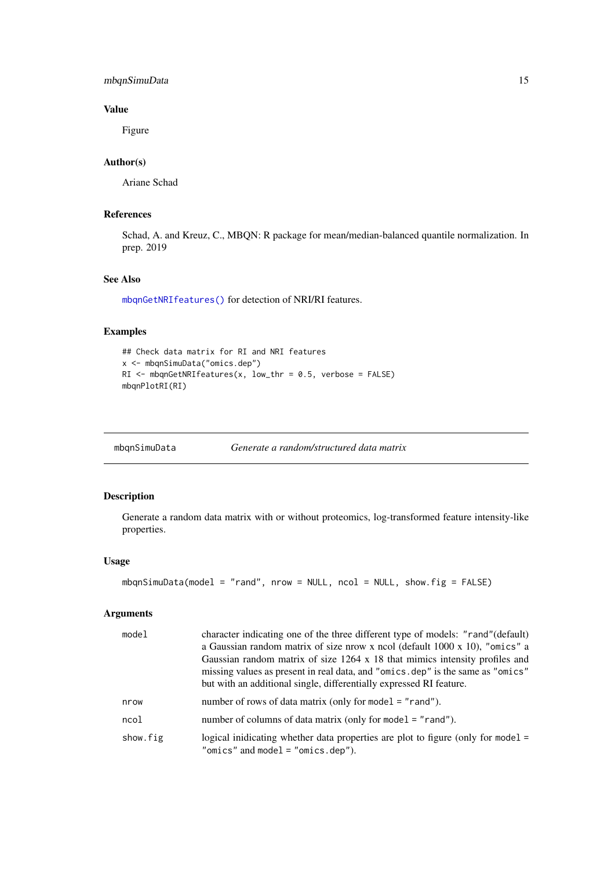#### <span id="page-14-0"></span>mbqnSimuData 15

#### Value

Figure

## Author(s)

Ariane Schad

## References

Schad, A. and Kreuz, C., MBQN: R package for mean/median-balanced quantile normalization. In prep. 2019

## See Also

[mbqnGetNRIfeatures\(\)](#page-7-1) for detection of NRI/RI features.

## Examples

```
## Check data matrix for RI and NRI features
x <- mbqnSimuData("omics.dep")
RI <- mbqnGetNRIfeatures(x, low_thr = 0.5, verbose = FALSE)
mbqnPlotRI(RI)
```
<span id="page-14-1"></span>mbqnSimuData *Generate a random/structured data matrix*

## Description

Generate a random data matrix with or without proteomics, log-transformed feature intensity-like properties.

## Usage

```
mbqnSimuData(model = "rand", nrow = NULL, ncol = NULL, show.fig = FALSE)
```

| model    | character indicating one of the three different type of models: "rand" (default)<br>a Gaussian random matrix of size nrow x ncol (default $1000 \times 10$ ), "omics" a<br>Gaussian random matrix of size 1264 x 18 that mimics intensity profiles and<br>missing values as present in real data, and "omics.dep" is the same as "omics"<br>but with an additional single, differentially expressed RI feature. |
|----------|-----------------------------------------------------------------------------------------------------------------------------------------------------------------------------------------------------------------------------------------------------------------------------------------------------------------------------------------------------------------------------------------------------------------|
| nrow     | number of rows of data matrix (only for mode $l = "rand")$ .                                                                                                                                                                                                                                                                                                                                                    |
| ncol     | number of columns of data matrix (only for model $=$ "rand").                                                                                                                                                                                                                                                                                                                                                   |
| show.fig | logical inidicating whether data properties are plot to figure (only for model $=$<br>"omics" and model = "omics.dep").                                                                                                                                                                                                                                                                                         |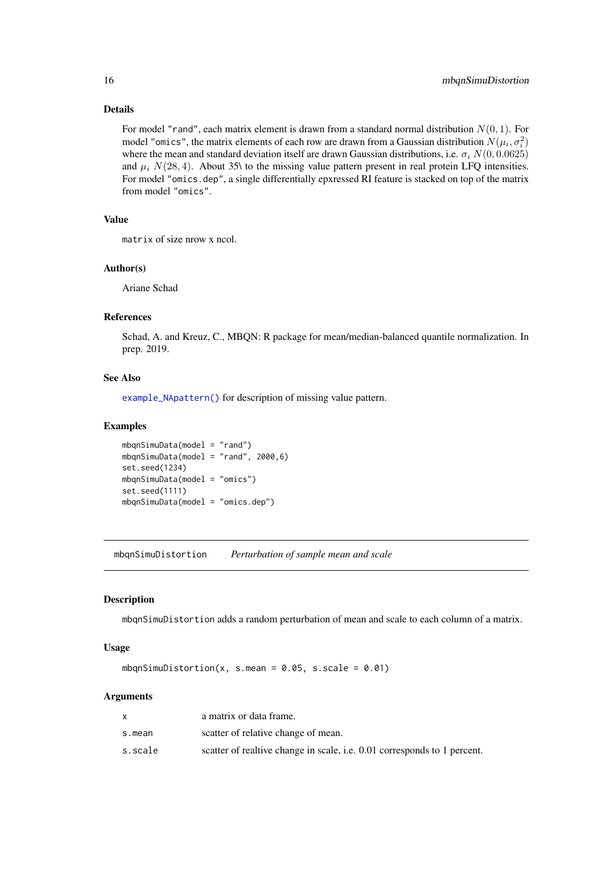#### Details

For model "rand", each matrix element is drawn from a standard normal distribution  $N(0, 1)$ . For model "omics", the matrix elements of each row are drawn from a Gaussian distribution  $N(\mu_i, \sigma_i^2)$ where the mean and standard deviation itself are drawn Gaussian distributions, i.e.  $\sigma_i N(0, 0.0625)$ and  $\mu_i$  N(28, 4). About 35\ to the missing value pattern present in real protein LFQ intensities. For model "omics.dep", a single differentially epxressed RI feature is stacked on top of the matrix from model "omics".

## Value

matrix of size nrow x ncol.

#### Author(s)

Ariane Schad

## References

Schad, A. and Kreuz, C., MBQN: R package for mean/median-balanced quantile normalization. In prep. 2019.

#### See Also

[example\\_NApattern\(\)](#page-1-1) for description of missing value pattern.

## Examples

```
mbqnSimuData(model = "rand")
mbqnSimuData(model = "rand", 2000,6)
set.seed(1234)
mbqnSimuData(model = "omics")
set.seed(1111)
mbqnSimuData(model = "omics.dep")
```
mbqnSimuDistortion *Perturbation of sample mean and scale*

#### Description

mbqnSimuDistortion adds a random perturbation of mean and scale to each column of a matrix.

#### Usage

mbqnSimuDistortion(x, s.mean =  $0.05$ , s.scale =  $0.01$ )

|         | a matrix or data frame.                                                         |
|---------|---------------------------------------------------------------------------------|
| s.mean  | scatter of relative change of mean.                                             |
| s.scale | scatter of realtive change in scale, <i>i.e.</i> 0.01 corresponds to 1 percent. |

<span id="page-15-0"></span>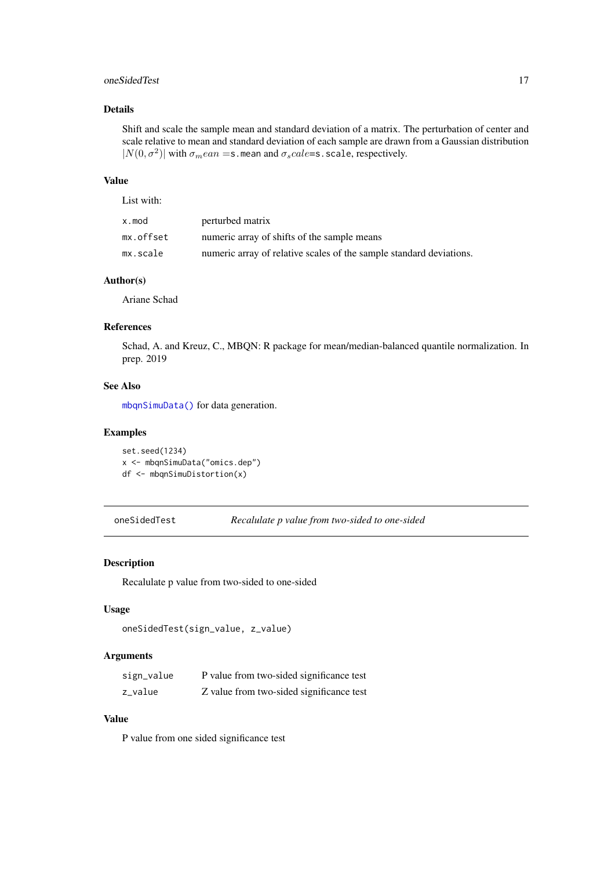#### <span id="page-16-0"></span>oneSidedTest 17

#### Details

Shift and scale the sample mean and standard deviation of a matrix. The perturbation of center and scale relative to mean and standard deviation of each sample are drawn from a Gaussian distribution  $|N(0, \sigma^2)|$  with  $\sigma_mean =$ s. mean and  $\sigma_scale =$ s. scale, respectively.

## Value

| List with: |                                                                     |
|------------|---------------------------------------------------------------------|
| x.mod      | perturbed matrix                                                    |
| mx.offset  | numeric array of shifts of the sample means                         |
| mx.scale   | numeric array of relative scales of the sample standard deviations. |

## Author(s)

Ariane Schad

## References

Schad, A. and Kreuz, C., MBQN: R package for mean/median-balanced quantile normalization. In prep. 2019

#### See Also

[mbqnSimuData\(\)](#page-14-1) for data generation.

## Examples

```
set.seed(1234)
x <- mbqnSimuData("omics.dep")
df <- mbqnSimuDistortion(x)
```
oneSidedTest *Recalulate p value from two-sided to one-sided*

## Description

Recalulate p value from two-sided to one-sided

## Usage

```
oneSidedTest(sign_value, z_value)
```
## Arguments

| sign_value | P value from two-sided significance test |
|------------|------------------------------------------|
| z_value    | Z value from two-sided significance test |

## Value

P value from one sided significance test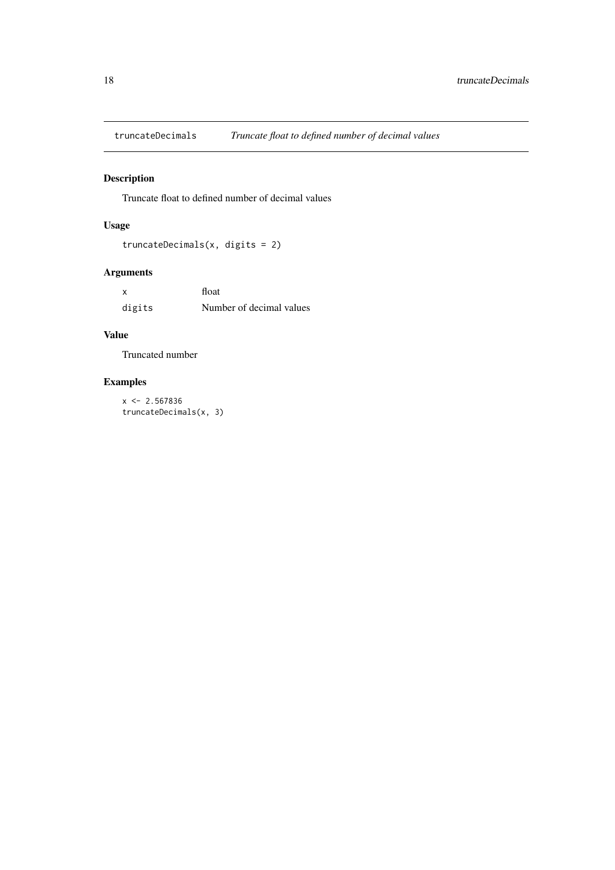<span id="page-17-0"></span>

Truncate float to defined number of decimal values

## Usage

```
truncateDecimals(x, digits = 2)
```
## Arguments

| x      | float                    |
|--------|--------------------------|
| digits | Number of decimal values |

## Value

Truncated number

## Examples

 $x \le -2.567836$ truncateDecimals(x, 3)